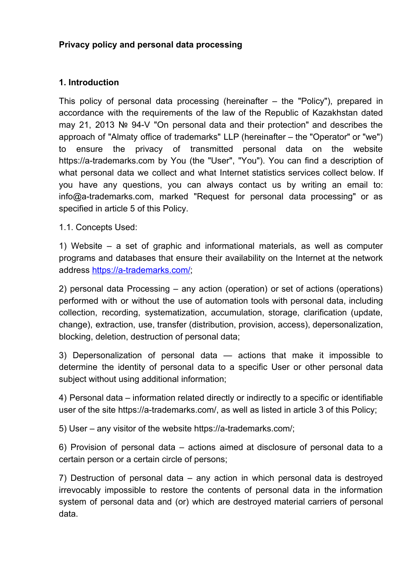## **Privacy policy and personal data processing**

### **1. Introduction**

This policy of personal data processing (hereinafter – the "Policy"), prepared in accordance with the requirements of the law of the Republic of Kazakhstan dated may 21, 2013 № 94-V "On personal data and their protection" and describes the approach of "Almaty office of trademarks" LLP (hereinafter – the "Operator" or "we") to ensure the privacy of transmitted personal data on the website https://a-trademarks.com by You (the "User", "You"). You can find a description of what personal data we collect and what Internet statistics services collect below. If you have any questions, you can always contact us by writing an email to: info@a-trademarks.com, marked "Request for personal data processing" or as specified in article 5 of this Policy.

1.1. Concepts Used:

1) Website – a set of graphic and informational materials, as well as computer programs and databases that ensure their availability on the Internet at the network address [https://a-trademarks.com/;](https://a-trademarks.com/)

2) personal data Processing – any action (operation) or set of actions (operations) performed with or without the use of automation tools with personal data, including collection, recording, systematization, accumulation, storage, clarification (update, change), extraction, use, transfer (distribution, provision, access), depersonalization, blocking, deletion, destruction of personal data;

3) Depersonalization of personal data — actions that make it impossible to determine the identity of personal data to a specific User or other personal data subject without using additional information;

4) Personal data – information related directly or indirectly to a specific or identifiable user of the site https://a-trademarks.com/, as well as listed in article 3 of this Policy;

5) User – any visitor of the website https://a-trademarks.com/;

6) Provision of personal data – actions aimed at disclosure of personal data to a certain person or a certain circle of persons;

7) Destruction of personal data – any action in which personal data is destroyed irrevocably impossible to restore the contents of personal data in the information system of personal data and (or) which are destroyed material carriers of personal data.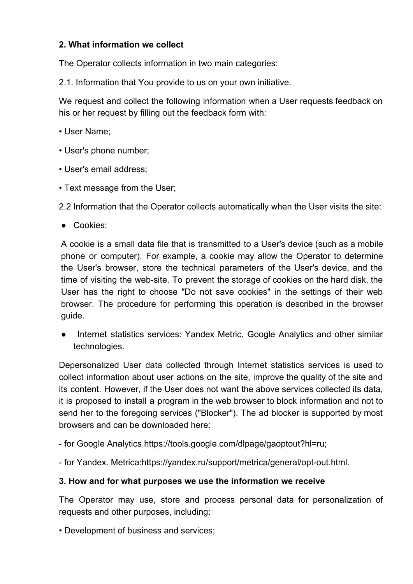## **2. What information we collect**

The Operator collects information in two main categories:

2.1. Information that You provide to us on your own initiative.

We request and collect the following information when a User requests feedback on his or her request by filling out the feedback form with:

- User Name;
- User's phone number;
- User's email address;
- Text message from the User;

2.2 Information that the Operator collects automatically when the User visits the site:

● Cookies;

A cookie is a small data file that is transmitted to a User's device (such as a mobile phone or computer). For example, a cookie may allow the Operator to determine the User's browser, store the technical parameters of the User's device, and the time of visiting the web-site. To prevent the storage of cookies on the hard disk, the User has the right to choose "Do not save cookies" in the settings of their web browser. The procedure for performing this operation is described in the browser guide.

Internet statistics services: Yandex Metric, Google Analytics and other similar technologies.

Depersonalized User data collected through Internet statistics services is used to collect information about user actions on the site, improve the quality of the site and its content. However, if the User does not want the above services collected its data, it is proposed to install a program in the web browser to block information and not to send her to the foregoing services ("Blocker"). The ad blocker is supported by most browsers and can be downloaded here:

- for Google Analytics https://tools.google.com/dlpage/gaoptout?hl=ru;

- for Yandex. Metrica:https://yandex.ru/support/metrica/general/opt-out.html.

## **3. How and for what purposes we use the information we receive**

The Operator may use, store and process personal data for personalization of requests and other purposes, including:

• Development of business and services;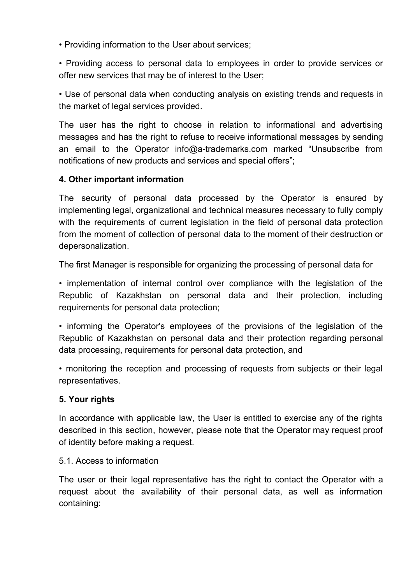• Providing information to the User about services;

• Providing access to personal data to employees in order to provide services or offer new services that may be of interest to the User;

• Use of personal data when conducting analysis on existing trends and requests in the market of legal services provided.

The user has the right to choose in relation to informational and advertising messages and has the right to refuse to receive informational messages by sending an email to the Operator info@a-trademarks.com marked "Unsubscribe from notifications of new products and services and special offers";

## **4. Other important information**

The security of personal data processed by the Operator is ensured by implementing legal, organizational and technical measures necessary to fully comply with the requirements of current legislation in the field of personal data protection from the moment of collection of personal data to the moment of their destruction or depersonalization.

The first Manager is responsible for organizing the processing of personal data for

• implementation of internal control over compliance with the legislation of the Republic of Kazakhstan on personal data and their protection, including requirements for personal data protection;

• informing the Operator's employees of the provisions of the legislation of the Republic of Kazakhstan on personal data and their protection regarding personal data processing, requirements for personal data protection, and

• monitoring the reception and processing of requests from subjects or their legal representatives.

#### **5. Your rights**

In accordance with applicable law, the User is entitled to exercise any of the rights described in this section, however, please note that the Operator may request proof of identity before making a request.

#### 5.1. Access to information

The user or their legal representative has the right to contact the Operator with a request about the availability of their personal data, as well as information containing: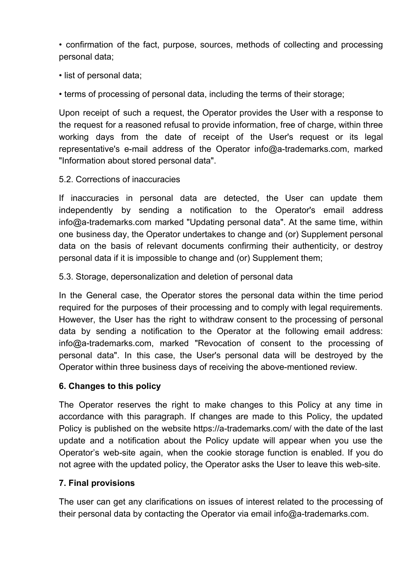• confirmation of the fact, purpose, sources, methods of collecting and processing personal data;

• list of personal data;

• terms of processing of personal data, including the terms of their storage;

Upon receipt of such a request, the Operator provides the User with a response to the request for a reasoned refusal to provide information, free of charge, within three working days from the date of receipt of the User's request or its legal representative's e-mail address of the Operator info@a-trademarks.com, marked "Information about stored personal data".

# 5.2. Corrections of inaccuracies

If inaccuracies in personal data are detected, the User can update them independently by sending a notification to the Operator's email address info@a-trademarks.com marked "Updating personal data". At the same time, within one business day, the Operator undertakes to change and (or) Supplement personal data on the basis of relevant documents confirming their authenticity, or destroy personal data if it is impossible to change and (or) Supplement them;

5.3. Storage, depersonalization and deletion of personal data

In the General case, the Operator stores the personal data within the time period required for the purposes of their processing and to comply with legal requirements. However, the User has the right to withdraw consent to the processing of personal data by sending a notification to the Operator at the following email address: info@a-trademarks.com, marked "Revocation of consent to the processing of personal data". In this case, the User's personal data will be destroyed by the Operator within three business days of receiving the above-mentioned review.

# **6. Changes to this policy**

The Operator reserves the right to make changes to this Policy at any time in accordance with this paragraph. If changes are made to this Policy, the updated Policy is published on the website https://a-trademarks.com/ with the date of the last update and a notification about the Policy update will appear when you use the Operator's web-site again, when the cookie storage function is enabled. If you do not agree with the updated policy, the Operator asks the User to leave this web-site.

# **7. Final provisions**

The user can get any clarifications on issues of interest related to the processing of their personal data by contacting the Operator via email info@a-trademarks.com.